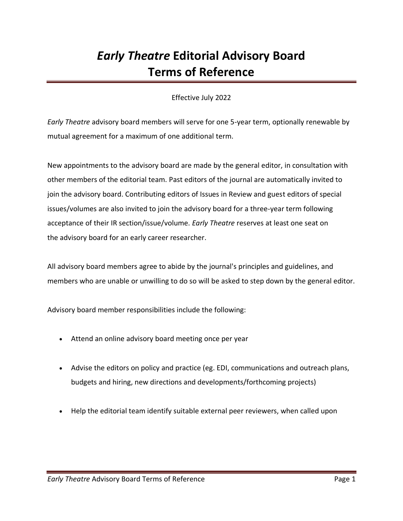## *Early Theatre* **Editorial Advisory Board Terms of Reference**

## Effective July 2022

*Early Theatre* advisory board members will serve for one 5-year term, optionally renewable by mutual agreement for a maximum of one additional term.

New appointments to the advisory board are made by the general editor, in consultation with other members of the editorial team. Past editors of the journal are automatically invited to join the advisory board. Contributing editors of Issues in Review and guest editors of special issues/volumes are also invited to join the advisory board for a three-year term following acceptance of their IR section/issue/volume. *Early Theatre* reserves at least one seat on the advisory board for an early career researcher.

All advisory board members agree to abide by the journal's principles and guidelines, and members who are unable or unwilling to do so will be asked to step down by the general editor.

Advisory board member responsibilities include the following:

- Attend an online advisory board meeting once per year
- Advise the editors on policy and practice (eg. EDI, communications and outreach plans, budgets and hiring, new directions and developments/forthcoming projects)
- Help the editorial team identify suitable external peer reviewers, when called upon